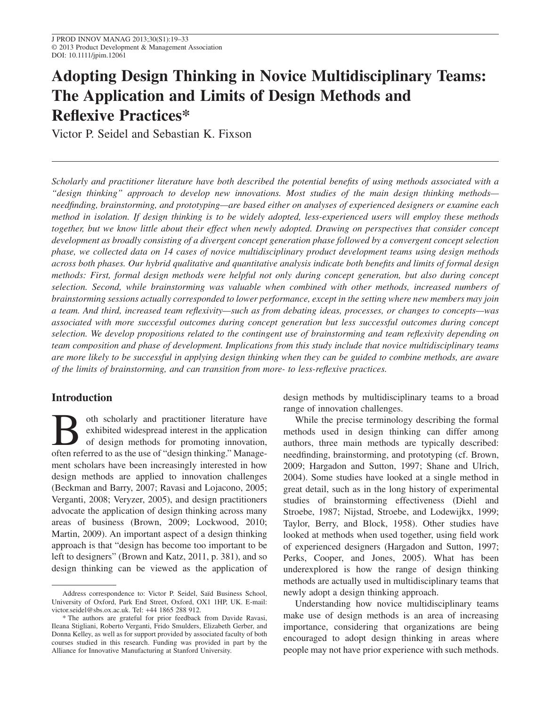# **Adopting Design Thinking in Novice Multidisciplinary Teams: The Application and Limits of Design Methods and Reflexive Practices\***

Victor P. Seidel and Sebastian K. Fixson

*Scholarly and practitioner literature have both described the potential benefits of using methods associated with a "design thinking" approach to develop new innovations. Most studies of the main design thinking methods needfinding, brainstorming, and prototyping—are based either on analyses of experienced designers or examine each method in isolation. If design thinking is to be widely adopted, less-experienced users will employ these methods together, but we know little about their effect when newly adopted. Drawing on perspectives that consider concept development as broadly consisting of a divergent concept generation phase followed by a convergent concept selection phase, we collected data on 14 cases of novice multidisciplinary product development teams using design methods across both phases. Our hybrid qualitative and quantitative analysis indicate both benefits and limits of formal design methods: First, formal design methods were helpful not only during concept generation, but also during concept selection. Second, while brainstorming was valuable when combined with other methods, increased numbers of brainstorming sessions actually corresponded to lower performance, except in the setting where new members may join a team. And third, increased team reflexivity—such as from debating ideas, processes, or changes to concepts—was associated with more successful outcomes during concept generation but less successful outcomes during concept selection. We develop propositions related to the contingent use of brainstorming and team reflexivity depending on team composition and phase of development. Implications from this study include that novice multidisciplinary teams are more likely to be successful in applying design thinking when they can be guided to combine methods, are aware of the limits of brainstorming, and can transition from more- to less-reflexive practices.*

# **Introduction**

**Both scholarly and practitioner literature have**<br>exhibited widespread interest in the application<br>of design methods for promoting innovation,<br>often referred to as the use of "design thinking" Manageexhibited widespread interest in the application of design methods for promoting innovation, often referred to as the use of "design thinking." Management scholars have been increasingly interested in how design methods are applied to innovation challenges (Beckman and Barry, 2007; Ravasi and Lojacono, 2005; Verganti, 2008; Veryzer, 2005), and design practitioners advocate the application of design thinking across many areas of business (Brown, 2009; Lockwood, 2010; Martin, 2009). An important aspect of a design thinking approach is that "design has become too important to be left to designers" (Brown and Katz, 2011, p. 381), and so design thinking can be viewed as the application of design methods by multidisciplinary teams to a broad range of innovation challenges.

While the precise terminology describing the formal methods used in design thinking can differ among authors, three main methods are typically described: needfinding, brainstorming, and prototyping (cf. Brown, 2009; Hargadon and Sutton, 1997; Shane and Ulrich, 2004). Some studies have looked at a single method in great detail, such as in the long history of experimental studies of brainstorming effectiveness (Diehl and Stroebe, 1987; Nijstad, Stroebe, and Lodewijkx, 1999; Taylor, Berry, and Block, 1958). Other studies have looked at methods when used together, using field work of experienced designers (Hargadon and Sutton, 1997; Perks, Cooper, and Jones, 2005). What has been underexplored is how the range of design thinking methods are actually used in multidisciplinary teams that newly adopt a design thinking approach.

Understanding how novice multidisciplinary teams make use of design methods is an area of increasing importance, considering that organizations are being encouraged to adopt design thinking in areas where people may not have prior experience with such methods.

Address correspondence to: Victor P. Seidel, Saïd Business School, University of Oxford, Park End Street, Oxford, OX1 1HP, UK. E-mail: victor.seidel@sbs.ox.ac.uk. Tel: +44 1865 288 912.

<sup>\*</sup> The authors are grateful for prior feedback from Davide Ravasi, Ileana Stigliani, Roberto Verganti, Frido Smulders, Elizabeth Gerber, and Donna Kelley, as well as for support provided by associated faculty of both courses studied in this research. Funding was provided in part by the Alliance for Innovative Manufacturing at Stanford University.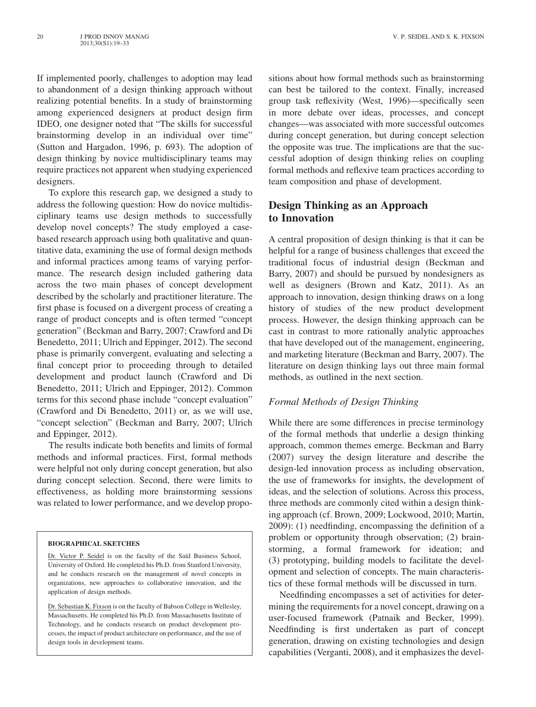If implemented poorly, challenges to adoption may lead to abandonment of a design thinking approach without realizing potential benefits. In a study of brainstorming among experienced designers at product design firm IDEO, one designer noted that "The skills for successful brainstorming develop in an individual over time" (Sutton and Hargadon, 1996, p. 693). The adoption of design thinking by novice multidisciplinary teams may require practices not apparent when studying experienced designers.

To explore this research gap, we designed a study to address the following question: How do novice multidisciplinary teams use design methods to successfully develop novel concepts? The study employed a casebased research approach using both qualitative and quantitative data, examining the use of formal design methods and informal practices among teams of varying performance. The research design included gathering data across the two main phases of concept development described by the scholarly and practitioner literature. The first phase is focused on a divergent process of creating a range of product concepts and is often termed "concept generation" (Beckman and Barry, 2007; Crawford and Di Benedetto, 2011; Ulrich and Eppinger, 2012). The second phase is primarily convergent, evaluating and selecting a final concept prior to proceeding through to detailed development and product launch (Crawford and Di Benedetto, 2011; Ulrich and Eppinger, 2012). Common terms for this second phase include "concept evaluation" (Crawford and Di Benedetto, 2011) or, as we will use, "concept selection" (Beckman and Barry, 2007; Ulrich and Eppinger, 2012).

The results indicate both benefits and limits of formal methods and informal practices. First, formal methods were helpful not only during concept generation, but also during concept selection. Second, there were limits to effectiveness, as holding more brainstorming sessions was related to lower performance, and we develop propo-

#### **BIOGRAPHICAL SKETCHES**

Dr. Victor P. Seidel is on the faculty of the Saïd Business School, University of Oxford. He completed his Ph.D. from Stanford University, and he conducts research on the management of novel concepts in organizations, new approaches to collaborative innovation, and the application of design methods.

Dr. Sebastian K. Fixson is on the faculty of Babson College in Wellesley, Massachusetts. He completed his Ph.D. from Massachusetts Institute of Technology, and he conducts research on product development processes, the impact of product architecture on performance, and the use of design tools in development teams.

sitions about how formal methods such as brainstorming can best be tailored to the context. Finally, increased group task reflexivity (West, 1996)—specifically seen in more debate over ideas, processes, and concept changes—was associated with more successful outcomes during concept generation, but during concept selection the opposite was true. The implications are that the successful adoption of design thinking relies on coupling formal methods and reflexive team practices according to team composition and phase of development.

# **Design Thinking as an Approach to Innovation**

A central proposition of design thinking is that it can be helpful for a range of business challenges that exceed the traditional focus of industrial design (Beckman and Barry, 2007) and should be pursued by nondesigners as well as designers (Brown and Katz, 2011). As an approach to innovation, design thinking draws on a long history of studies of the new product development process. However, the design thinking approach can be cast in contrast to more rationally analytic approaches that have developed out of the management, engineering, and marketing literature (Beckman and Barry, 2007). The literature on design thinking lays out three main formal methods, as outlined in the next section.

#### *Formal Methods of Design Thinking*

While there are some differences in precise terminology of the formal methods that underlie a design thinking approach, common themes emerge. Beckman and Barry (2007) survey the design literature and describe the design-led innovation process as including observation, the use of frameworks for insights, the development of ideas, and the selection of solutions. Across this process, three methods are commonly cited within a design thinking approach (cf. Brown, 2009; Lockwood, 2010; Martin, 2009): (1) needfinding, encompassing the definition of a problem or opportunity through observation; (2) brainstorming, a formal framework for ideation; and (3) prototyping, building models to facilitate the development and selection of concepts. The main characteristics of these formal methods will be discussed in turn.

Needfinding encompasses a set of activities for determining the requirements for a novel concept, drawing on a user-focused framework (Patnaik and Becker, 1999). Needfinding is first undertaken as part of concept generation, drawing on existing technologies and design capabilities (Verganti, 2008), and it emphasizes the devel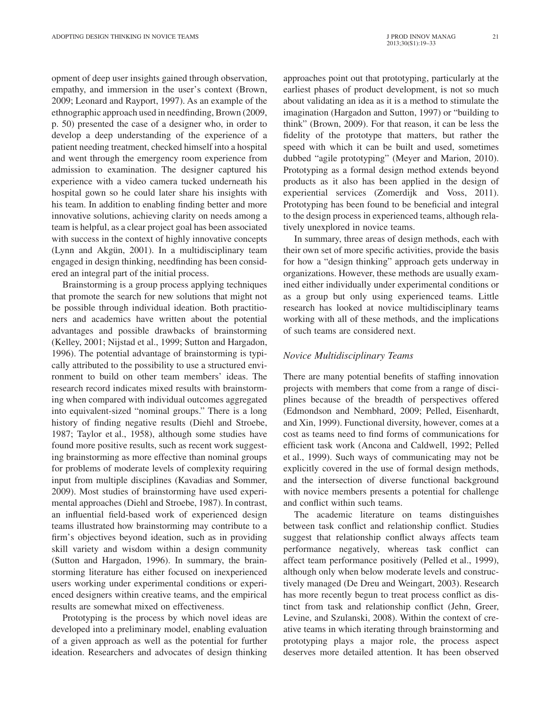opment of deep user insights gained through observation, empathy, and immersion in the user's context (Brown, 2009; Leonard and Rayport, 1997). As an example of the ethnographic approach used in needfinding, Brown (2009, p. 50) presented the case of a designer who, in order to develop a deep understanding of the experience of a patient needing treatment, checked himself into a hospital and went through the emergency room experience from admission to examination. The designer captured his experience with a video camera tucked underneath his hospital gown so he could later share his insights with his team. In addition to enabling finding better and more innovative solutions, achieving clarity on needs among a team is helpful, as a clear project goal has been associated with success in the context of highly innovative concepts (Lynn and Akgün, 2001). In a multidisciplinary team engaged in design thinking, needfinding has been considered an integral part of the initial process.

Brainstorming is a group process applying techniques that promote the search for new solutions that might not be possible through individual ideation. Both practitioners and academics have written about the potential advantages and possible drawbacks of brainstorming (Kelley, 2001; Nijstad et al., 1999; Sutton and Hargadon, 1996). The potential advantage of brainstorming is typically attributed to the possibility to use a structured environment to build on other team members' ideas. The research record indicates mixed results with brainstorming when compared with individual outcomes aggregated into equivalent-sized "nominal groups." There is a long history of finding negative results (Diehl and Stroebe, 1987; Taylor et al., 1958), although some studies have found more positive results, such as recent work suggesting brainstorming as more effective than nominal groups for problems of moderate levels of complexity requiring input from multiple disciplines (Kavadias and Sommer, 2009). Most studies of brainstorming have used experimental approaches (Diehl and Stroebe, 1987). In contrast, an influential field-based work of experienced design teams illustrated how brainstorming may contribute to a firm's objectives beyond ideation, such as in providing skill variety and wisdom within a design community (Sutton and Hargadon, 1996). In summary, the brainstorming literature has either focused on inexperienced users working under experimental conditions or experienced designers within creative teams, and the empirical results are somewhat mixed on effectiveness.

Prototyping is the process by which novel ideas are developed into a preliminary model, enabling evaluation of a given approach as well as the potential for further ideation. Researchers and advocates of design thinking

approaches point out that prototyping, particularly at the earliest phases of product development, is not so much about validating an idea as it is a method to stimulate the imagination (Hargadon and Sutton, 1997) or "building to think" (Brown, 2009). For that reason, it can be less the fidelity of the prototype that matters, but rather the speed with which it can be built and used, sometimes dubbed "agile prototyping" (Meyer and Marion, 2010). Prototyping as a formal design method extends beyond products as it also has been applied in the design of experiential services (Zomerdijk and Voss, 2011). Prototyping has been found to be beneficial and integral to the design process in experienced teams, although relatively unexplored in novice teams.

In summary, three areas of design methods, each with their own set of more specific activities, provide the basis for how a "design thinking" approach gets underway in organizations. However, these methods are usually examined either individually under experimental conditions or as a group but only using experienced teams. Little research has looked at novice multidisciplinary teams working with all of these methods, and the implications of such teams are considered next.

#### *Novice Multidisciplinary Teams*

There are many potential benefits of staffing innovation projects with members that come from a range of disciplines because of the breadth of perspectives offered (Edmondson and Nembhard, 2009; Pelled, Eisenhardt, and Xin, 1999). Functional diversity, however, comes at a cost as teams need to find forms of communications for efficient task work (Ancona and Caldwell, 1992; Pelled et al., 1999). Such ways of communicating may not be explicitly covered in the use of formal design methods, and the intersection of diverse functional background with novice members presents a potential for challenge and conflict within such teams.

The academic literature on teams distinguishes between task conflict and relationship conflict. Studies suggest that relationship conflict always affects team performance negatively, whereas task conflict can affect team performance positively (Pelled et al., 1999), although only when below moderate levels and constructively managed (De Dreu and Weingart, 2003). Research has more recently begun to treat process conflict as distinct from task and relationship conflict (Jehn, Greer, Levine, and Szulanski, 2008). Within the context of creative teams in which iterating through brainstorming and prototyping plays a major role, the process aspect deserves more detailed attention. It has been observed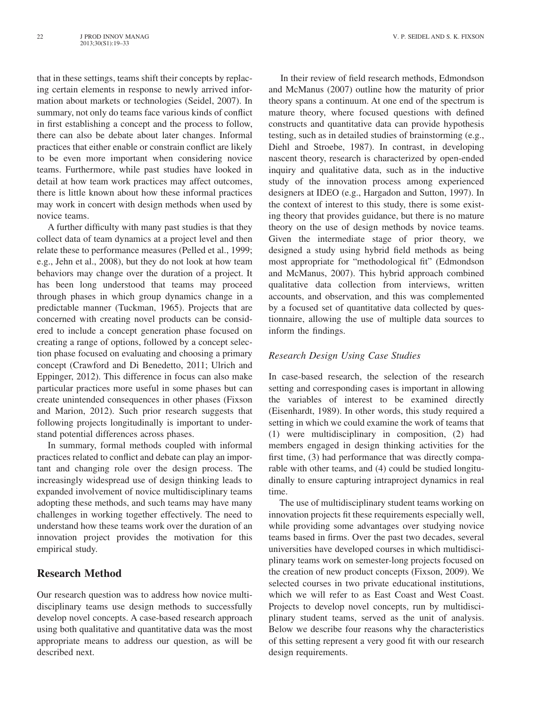that in these settings, teams shift their concepts by replacing certain elements in response to newly arrived information about markets or technologies (Seidel, 2007). In summary, not only do teams face various kinds of conflict in first establishing a concept and the process to follow, there can also be debate about later changes. Informal practices that either enable or constrain conflict are likely to be even more important when considering novice teams. Furthermore, while past studies have looked in detail at how team work practices may affect outcomes, there is little known about how these informal practices may work in concert with design methods when used by novice teams.

A further difficulty with many past studies is that they collect data of team dynamics at a project level and then relate these to performance measures (Pelled et al., 1999; e.g., Jehn et al., 2008), but they do not look at how team behaviors may change over the duration of a project. It has been long understood that teams may proceed through phases in which group dynamics change in a predictable manner (Tuckman, 1965). Projects that are concerned with creating novel products can be considered to include a concept generation phase focused on creating a range of options, followed by a concept selection phase focused on evaluating and choosing a primary concept (Crawford and Di Benedetto, 2011; Ulrich and Eppinger, 2012). This difference in focus can also make particular practices more useful in some phases but can create unintended consequences in other phases (Fixson and Marion, 2012). Such prior research suggests that following projects longitudinally is important to understand potential differences across phases.

In summary, formal methods coupled with informal practices related to conflict and debate can play an important and changing role over the design process. The increasingly widespread use of design thinking leads to expanded involvement of novice multidisciplinary teams adopting these methods, and such teams may have many challenges in working together effectively. The need to understand how these teams work over the duration of an innovation project provides the motivation for this empirical study.

# **Research Method**

Our research question was to address how novice multidisciplinary teams use design methods to successfully develop novel concepts. A case-based research approach using both qualitative and quantitative data was the most appropriate means to address our question, as will be described next.

In their review of field research methods, Edmondson and McManus (2007) outline how the maturity of prior theory spans a continuum. At one end of the spectrum is mature theory, where focused questions with defined constructs and quantitative data can provide hypothesis testing, such as in detailed studies of brainstorming (e.g., Diehl and Stroebe, 1987). In contrast, in developing nascent theory, research is characterized by open-ended inquiry and qualitative data, such as in the inductive study of the innovation process among experienced designers at IDEO (e.g., Hargadon and Sutton, 1997). In the context of interest to this study, there is some existing theory that provides guidance, but there is no mature theory on the use of design methods by novice teams. Given the intermediate stage of prior theory, we designed a study using hybrid field methods as being most appropriate for "methodological fit" (Edmondson and McManus, 2007). This hybrid approach combined qualitative data collection from interviews, written accounts, and observation, and this was complemented by a focused set of quantitative data collected by questionnaire, allowing the use of multiple data sources to inform the findings.

# *Research Design Using Case Studies*

In case-based research, the selection of the research setting and corresponding cases is important in allowing the variables of interest to be examined directly (Eisenhardt, 1989). In other words, this study required a setting in which we could examine the work of teams that (1) were multidisciplinary in composition, (2) had members engaged in design thinking activities for the first time, (3) had performance that was directly comparable with other teams, and (4) could be studied longitudinally to ensure capturing intraproject dynamics in real time.

The use of multidisciplinary student teams working on innovation projects fit these requirements especially well, while providing some advantages over studying novice teams based in firms. Over the past two decades, several universities have developed courses in which multidisciplinary teams work on semester-long projects focused on the creation of new product concepts (Fixson, 2009). We selected courses in two private educational institutions, which we will refer to as East Coast and West Coast. Projects to develop novel concepts, run by multidisciplinary student teams, served as the unit of analysis. Below we describe four reasons why the characteristics of this setting represent a very good fit with our research design requirements.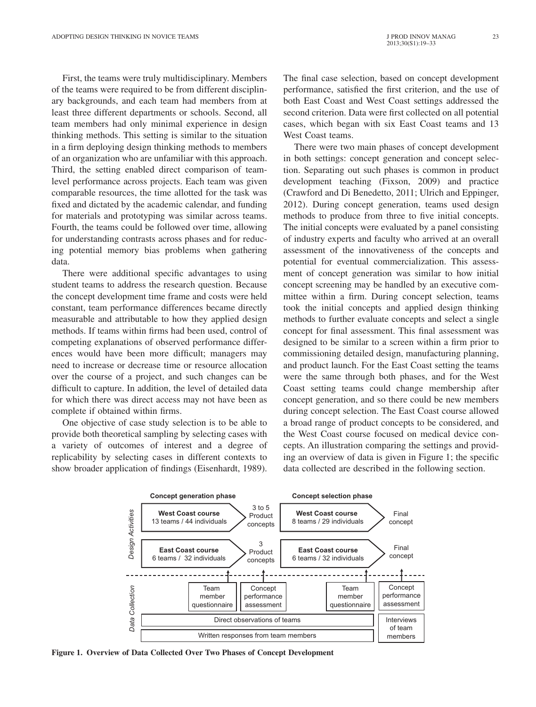First, the teams were truly multidisciplinary. Members of the teams were required to be from different disciplinary backgrounds, and each team had members from at least three different departments or schools. Second, all team members had only minimal experience in design thinking methods. This setting is similar to the situation in a firm deploying design thinking methods to members of an organization who are unfamiliar with this approach. Third, the setting enabled direct comparison of teamlevel performance across projects. Each team was given comparable resources, the time allotted for the task was fixed and dictated by the academic calendar, and funding for materials and prototyping was similar across teams. Fourth, the teams could be followed over time, allowing for understanding contrasts across phases and for reducing potential memory bias problems when gathering data.

There were additional specific advantages to using student teams to address the research question. Because the concept development time frame and costs were held constant, team performance differences became directly measurable and attributable to how they applied design methods. If teams within firms had been used, control of competing explanations of observed performance differences would have been more difficult; managers may need to increase or decrease time or resource allocation over the course of a project, and such changes can be difficult to capture. In addition, the level of detailed data for which there was direct access may not have been as complete if obtained within firms.

One objective of case study selection is to be able to provide both theoretical sampling by selecting cases with a variety of outcomes of interest and a degree of replicability by selecting cases in different contexts to show broader application of findings (Eisenhardt, 1989). The final case selection, based on concept development performance, satisfied the first criterion, and the use of both East Coast and West Coast settings addressed the second criterion. Data were first collected on all potential cases, which began with six East Coast teams and 13 West Coast teams.

There were two main phases of concept development in both settings: concept generation and concept selection. Separating out such phases is common in product development teaching (Fixson, 2009) and practice (Crawford and Di Benedetto, 2011; Ulrich and Eppinger, 2012). During concept generation, teams used design methods to produce from three to five initial concepts. The initial concepts were evaluated by a panel consisting of industry experts and faculty who arrived at an overall assessment of the innovativeness of the concepts and potential for eventual commercialization. This assessment of concept generation was similar to how initial concept screening may be handled by an executive committee within a firm. During concept selection, teams took the initial concepts and applied design thinking methods to further evaluate concepts and select a single concept for final assessment. This final assessment was designed to be similar to a screen within a firm prior to commissioning detailed design, manufacturing planning, and product launch. For the East Coast setting the teams were the same through both phases, and for the West Coast setting teams could change membership after concept generation, and so there could be new members during concept selection. The East Coast course allowed a broad range of product concepts to be considered, and the West Coast course focused on medical device concepts. An illustration comparing the settings and providing an overview of data is given in Figure 1; the specific data collected are described in the following section.



**Figure 1. Overview of Data Collected Over Two Phases of Concept Development**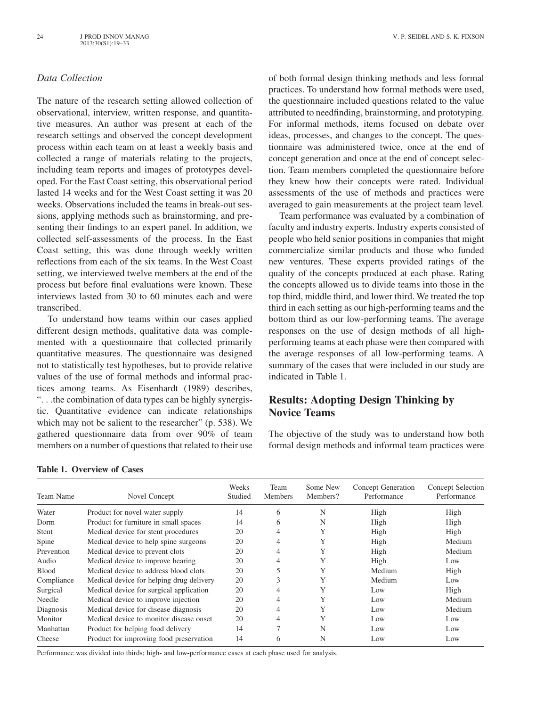## *Data Collection*

The nature of the research setting allowed collection of observational, interview, written response, and quantitative measures. An author was present at each of the research settings and observed the concept development process within each team on at least a weekly basis and collected a range of materials relating to the projects, including team reports and images of prototypes developed. For the East Coast setting, this observational period lasted 14 weeks and for the West Coast setting it was 20 weeks. Observations included the teams in break-out sessions, applying methods such as brainstorming, and presenting their findings to an expert panel. In addition, we collected self-assessments of the process. In the East Coast setting, this was done through weekly written reflections from each of the six teams. In the West Coast setting, we interviewed twelve members at the end of the process but before final evaluations were known. These interviews lasted from 30 to 60 minutes each and were transcribed.

To understand how teams within our cases applied different design methods, qualitative data was complemented with a questionnaire that collected primarily quantitative measures. The questionnaire was designed not to statistically test hypotheses, but to provide relative values of the use of formal methods and informal practices among teams. As Eisenhardt (1989) describes, ". . .the combination of data types can be highly synergistic. Quantitative evidence can indicate relationships which may not be salient to the researcher" (p. 538). We gathered questionnaire data from over 90% of team members on a number of questions that related to their use of both formal design thinking methods and less formal practices. To understand how formal methods were used, the questionnaire included questions related to the value attributed to needfinding, brainstorming, and prototyping. For informal methods, items focused on debate over ideas, processes, and changes to the concept. The questionnaire was administered twice, once at the end of concept generation and once at the end of concept selection. Team members completed the questionnaire before they knew how their concepts were rated. Individual assessments of the use of methods and practices were averaged to gain measurements at the project team level.

Team performance was evaluated by a combination of faculty and industry experts. Industry experts consisted of people who held senior positions in companies that might commercialize similar products and those who funded new ventures. These experts provided ratings of the quality of the concepts produced at each phase. Rating the concepts allowed us to divide teams into those in the top third, middle third, and lower third. We treated the top third in each setting as our high-performing teams and the bottom third as our low-performing teams. The average responses on the use of design methods of all highperforming teams at each phase were then compared with the average responses of all low-performing teams. A summary of the cases that were included in our study are indicated in Table 1.

# **Results: Adopting Design Thinking by Novice Teams**

The objective of the study was to understand how both formal design methods and informal team practices were

|  | <b>Table 1. Overview of Cases</b> |  |  |
|--|-----------------------------------|--|--|
|--|-----------------------------------|--|--|

| Team Name    | Novel Concept                            | Weeks<br>Studied | Team<br><b>Members</b> | Some New<br>Members? | Concept Generation<br>Performance | Concept Selection<br>Performance |
|--------------|------------------------------------------|------------------|------------------------|----------------------|-----------------------------------|----------------------------------|
| Water        | Product for novel water supply           | 14               | 6                      | N                    | High                              | High                             |
| Dorm         | Product for furniture in small spaces    | 14               | 6                      | N                    | High                              | High                             |
| Stent        | Medical device for stent procedures      | 20               | 4                      | Y                    | High                              | High                             |
| Spine        | Medical device to help spine surgeons    | 20               | 4                      | Y                    | High                              | Medium                           |
| Prevention   | Medical device to prevent clots          | 20               | 4                      | Y                    | High                              | Medium                           |
| Audio        | Medical device to improve hearing        | 20               | 4                      | Y                    | High                              | Low                              |
| <b>Blood</b> | Medical device to address blood clots    | 20               | 5                      | Y                    | Medium                            | High                             |
| Compliance   | Medical device for helping drug delivery | 20               | 3                      | Y                    | Medium                            | Low                              |
| Surgical     | Medical device for surgical application  | 20               | 4                      | Y                    | Low                               | High                             |
| Needle       | Medical device to improve injection      | 20               | 4                      | Y                    | Low                               | Medium                           |
| Diagnosis    | Medical device for disease diagnosis     | 20               | 4                      | Y                    | Low                               | Medium                           |
| Monitor      | Medical device to monitor disease onset  | 20               | 4                      | Y                    | Low                               | Low                              |
| Manhattan    | Product for helping food delivery        | 14               | 7                      | N                    | Low                               | Low                              |
| Cheese       | Product for improving food preservation  | 14               | 6                      | N                    | Low                               | Low                              |

Performance was divided into thirds; high- and low-performance cases at each phase used for analysis.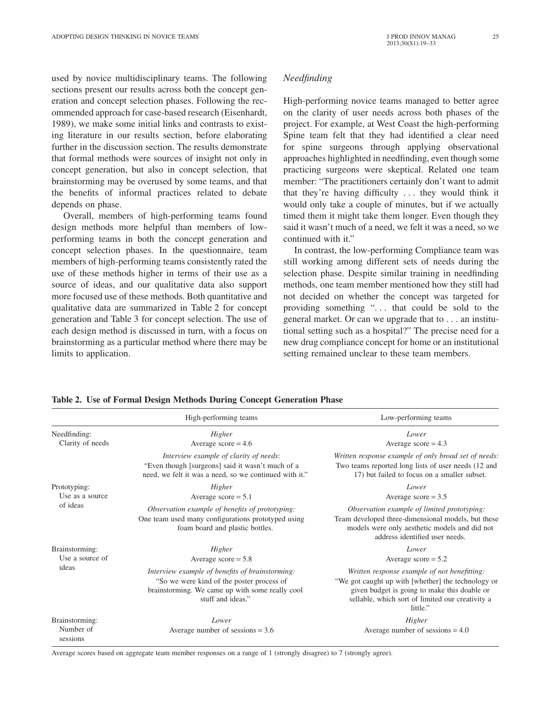used by novice multidisciplinary teams. The following sections present our results across both the concept generation and concept selection phases. Following the recommended approach for case-based research (Eisenhardt, 1989), we make some initial links and contrasts to existing literature in our results section, before elaborating further in the discussion section. The results demonstrate that formal methods were sources of insight not only in concept generation, but also in concept selection, that brainstorming may be overused by some teams, and that the benefits of informal practices related to debate depends on phase.

Overall, members of high-performing teams found design methods more helpful than members of lowperforming teams in both the concept generation and concept selection phases. In the questionnaire, team members of high-performing teams consistently rated the use of these methods higher in terms of their use as a source of ideas, and our qualitative data also support more focused use of these methods. Both quantitative and qualitative data are summarized in Table 2 for concept generation and Table 3 for concept selection. The use of each design method is discussed in turn, with a focus on brainstorming as a particular method where there may be limits to application.

#### *Needfinding*

High-performing novice teams managed to better agree on the clarity of user needs across both phases of the project. For example, at West Coast the high-performing Spine team felt that they had identified a clear need for spine surgeons through applying observational approaches highlighted in needfinding, even though some practicing surgeons were skeptical. Related one team member: "The practitioners certainly don't want to admit that they're having difficulty . . . they would think it would only take a couple of minutes, but if we actually timed them it might take them longer. Even though they said it wasn't much of a need, we felt it was a need, so we continued with it."

In contrast, the low-performing Compliance team was still working among different sets of needs during the selection phase. Despite similar training in needfinding methods, one team member mentioned how they still had not decided on whether the concept was targeted for providing something ". . . that could be sold to the general market. Or can we upgrade that to . . . an institutional setting such as a hospital?" The precise need for a new drug compliance concept for home or an institutional setting remained unclear to these team members.

|                                             | High-performing teams                                                                                                                                                | Low-performing teams                                                                                                                                                                                               |
|---------------------------------------------|----------------------------------------------------------------------------------------------------------------------------------------------------------------------|--------------------------------------------------------------------------------------------------------------------------------------------------------------------------------------------------------------------|
| Needfinding:<br>Clarity of needs            | Higher<br>Average score = $4.6$                                                                                                                                      | Lower<br>Average score $= 4.3$                                                                                                                                                                                     |
|                                             | Interview example of clarity of needs:<br>"Even though [surgeons] said it wasn't much of a<br>need, we felt it was a need, so we continued with it."                 | Written response example of only broad set of needs:<br>Two teams reported long lists of user needs (12 and<br>17) but failed to focus on a smaller subset.                                                        |
| Prototyping:<br>Use as a source<br>of ideas | Higher<br>Average $score = 5.1$                                                                                                                                      | Lower<br>Average $score = 3.5$                                                                                                                                                                                     |
|                                             | Observation example of benefits of prototyping:<br>One team used many configurations prototyped using<br>foam board and plastic bottles.                             | Observation example of limited prototyping:<br>Team developed three-dimensional models, but these<br>models were only aesthetic models and did not<br>address identified user needs.                               |
| Brainstorming:<br>Use a source of<br>ideas  | Higher<br>Average $score = 5.8$                                                                                                                                      | Lower<br>Average $score = 5.2$                                                                                                                                                                                     |
|                                             | Interview example of benefits of brainstorming:<br>"So we were kind of the poster process of<br>brainstorming. We came up with some really cool<br>stuff and ideas." | Written response example of not benefitting:<br>"We got caught up with [whether] the technology or<br>given budget is going to make this doable or<br>sellable, which sort of limited our creativity a<br>little." |
| Brainstorming:<br>Number of<br>sessions     | Lower<br>Average number of sessions $= 3.6$                                                                                                                          | Higher<br>Average number of sessions $= 4.0$                                                                                                                                                                       |

**Table 2. Use of Formal Design Methods During Concept Generation Phase**

Average scores based on aggregate team member responses on a range of 1 (strongly disagree) to 7 (strongly agree).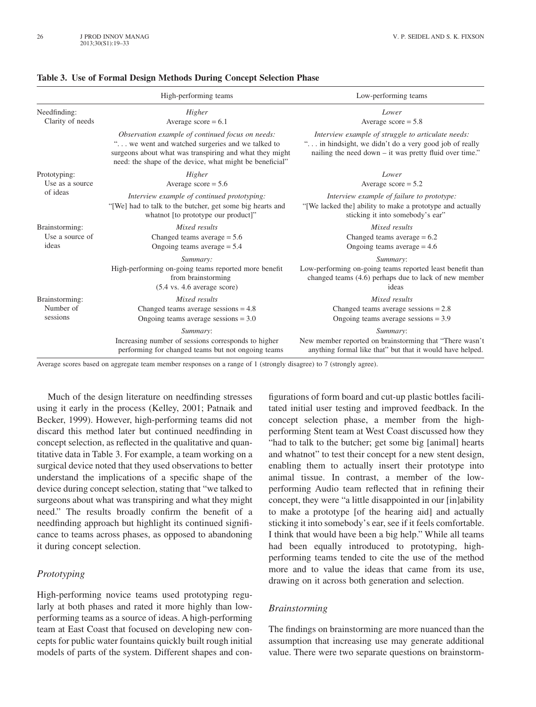|                                  | High-performing teams                                                                                                                                                                                                       | Low-performing teams                                                                                                                                                    |
|----------------------------------|-----------------------------------------------------------------------------------------------------------------------------------------------------------------------------------------------------------------------------|-------------------------------------------------------------------------------------------------------------------------------------------------------------------------|
| Needfinding:<br>Clarity of needs | Higher<br>Average score = $6.1$                                                                                                                                                                                             | Lower<br>Average $score = 5.8$                                                                                                                                          |
|                                  | Observation example of continued focus on needs:<br>" we went and watched surgeries and we talked to<br>surgeons about what was transpiring and what they might<br>need: the shape of the device, what might be beneficial" | Interview example of struggle to articulate needs:<br>" in hindsight, we didn't do a very good job of really<br>nailing the need down - it was pretty fluid over time." |
| Prototyping:                     | Higher                                                                                                                                                                                                                      | Lower                                                                                                                                                                   |
| Use as a source<br>of ideas      | Average score $= 5.6$                                                                                                                                                                                                       | Average $score = 5.2$                                                                                                                                                   |
|                                  | Interview example of continued prototyping:<br>"[We] had to talk to the butcher, get some big hearts and<br>whatnot [to prototype our product]"                                                                             | Interview example of failure to prototype:<br>"[We lacked the] ability to make a prototype and actually<br>sticking it into somebody's ear"                             |
| Brainstorming:                   | Mixed results                                                                                                                                                                                                               | Mixed results                                                                                                                                                           |
| Use a source of<br>ideas         | Changed teams average $= 5.6$<br>Ongoing teams average $= 5.4$                                                                                                                                                              | Changed teams average $= 6.2$<br>Ongoing teams average $= 4.6$                                                                                                          |
|                                  | Summary:                                                                                                                                                                                                                    | Summary:                                                                                                                                                                |
|                                  | High-performing on-going teams reported more benefit<br>from brainstorming<br>$(5.4 \text{ vs. } 4.6 \text{ average score})$                                                                                                | Low-performing on-going teams reported least benefit than<br>changed teams (4.6) perhaps due to lack of new member<br>ideas                                             |
| Brainstorming:                   | Mixed results                                                                                                                                                                                                               | Mixed results                                                                                                                                                           |
| Number of<br>sessions            | Changed teams average sessions $= 4.8$                                                                                                                                                                                      | Changed teams average sessions $= 2.8$                                                                                                                                  |
|                                  | Ongoing teams average sessions $= 3.0$                                                                                                                                                                                      | Ongoing teams average sessions $= 3.9$                                                                                                                                  |
|                                  | Summary:                                                                                                                                                                                                                    | Summary:                                                                                                                                                                |
|                                  | Increasing number of sessions corresponds to higher<br>performing for changed teams but not ongoing teams                                                                                                                   | New member reported on brainstorming that "There wasn't<br>anything formal like that" but that it would have helped.                                                    |

#### **Table 3. Use of Formal Design Methods During Concept Selection Phase**

Average scores based on aggregate team member responses on a range of 1 (strongly disagree) to 7 (strongly agree).

Much of the design literature on needfinding stresses using it early in the process (Kelley, 2001; Patnaik and Becker, 1999). However, high-performing teams did not discard this method later but continued needfinding in concept selection, as reflected in the qualitative and quantitative data in Table 3. For example, a team working on a surgical device noted that they used observations to better understand the implications of a specific shape of the device during concept selection, stating that "we talked to surgeons about what was transpiring and what they might need." The results broadly confirm the benefit of a needfinding approach but highlight its continued significance to teams across phases, as opposed to abandoning it during concept selection.

## *Prototyping*

High-performing novice teams used prototyping regularly at both phases and rated it more highly than lowperforming teams as a source of ideas. A high-performing team at East Coast that focused on developing new concepts for public water fountains quickly built rough initial models of parts of the system. Different shapes and configurations of form board and cut-up plastic bottles facilitated initial user testing and improved feedback. In the concept selection phase, a member from the highperforming Stent team at West Coast discussed how they "had to talk to the butcher; get some big [animal] hearts and whatnot" to test their concept for a new stent design, enabling them to actually insert their prototype into animal tissue. In contrast, a member of the lowperforming Audio team reflected that in refining their concept, they were "a little disappointed in our [in]ability to make a prototype [of the hearing aid] and actually sticking it into somebody's ear, see if it feels comfortable. I think that would have been a big help." While all teams had been equally introduced to prototyping, highperforming teams tended to cite the use of the method more and to value the ideas that came from its use, drawing on it across both generation and selection.

### *Brainstorming*

The findings on brainstorming are more nuanced than the assumption that increasing use may generate additional value. There were two separate questions on brainstorm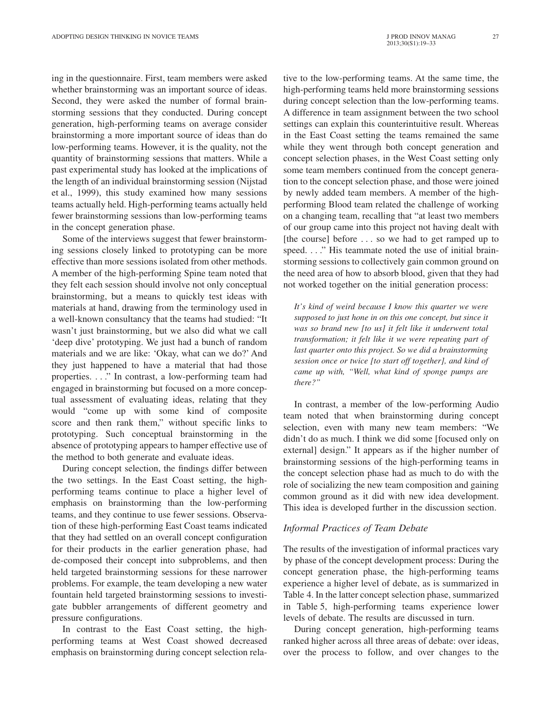ing in the questionnaire. First, team members were asked whether brainstorming was an important source of ideas. Second, they were asked the number of formal brainstorming sessions that they conducted. During concept generation, high-performing teams on average consider brainstorming a more important source of ideas than do low-performing teams. However, it is the quality, not the quantity of brainstorming sessions that matters. While a past experimental study has looked at the implications of the length of an individual brainstorming session (Nijstad et al., 1999), this study examined how many sessions teams actually held. High-performing teams actually held fewer brainstorming sessions than low-performing teams in the concept generation phase.

Some of the interviews suggest that fewer brainstorming sessions closely linked to prototyping can be more effective than more sessions isolated from other methods. A member of the high-performing Spine team noted that they felt each session should involve not only conceptual brainstorming, but a means to quickly test ideas with materials at hand, drawing from the terminology used in a well-known consultancy that the teams had studied: "It wasn't just brainstorming, but we also did what we call 'deep dive' prototyping. We just had a bunch of random materials and we are like: 'Okay, what can we do?' And they just happened to have a material that had those properties. . . ." In contrast, a low-performing team had engaged in brainstorming but focused on a more conceptual assessment of evaluating ideas, relating that they would "come up with some kind of composite score and then rank them," without specific links to prototyping. Such conceptual brainstorming in the absence of prototyping appears to hamper effective use of the method to both generate and evaluate ideas.

During concept selection, the findings differ between the two settings. In the East Coast setting, the highperforming teams continue to place a higher level of emphasis on brainstorming than the low-performing teams, and they continue to use fewer sessions. Observation of these high-performing East Coast teams indicated that they had settled on an overall concept configuration for their products in the earlier generation phase, had de-composed their concept into subproblems, and then held targeted brainstorming sessions for these narrower problems. For example, the team developing a new water fountain held targeted brainstorming sessions to investigate bubbler arrangements of different geometry and pressure configurations.

In contrast to the East Coast setting, the highperforming teams at West Coast showed decreased emphasis on brainstorming during concept selection relative to the low-performing teams. At the same time, the high-performing teams held more brainstorming sessions during concept selection than the low-performing teams. A difference in team assignment between the two school settings can explain this counterintuitive result. Whereas in the East Coast setting the teams remained the same while they went through both concept generation and concept selection phases, in the West Coast setting only some team members continued from the concept generation to the concept selection phase, and those were joined by newly added team members. A member of the highperforming Blood team related the challenge of working on a changing team, recalling that "at least two members of our group came into this project not having dealt with [the course] before . . . so we had to get ramped up to speed. . . ." His teammate noted the use of initial brainstorming sessions to collectively gain common ground on the need area of how to absorb blood, given that they had not worked together on the initial generation process:

*It's kind of weird because I know this quarter we were supposed to just hone in on this one concept, but since it was so brand new [to us] it felt like it underwent total transformation; it felt like it we were repeating part of last quarter onto this project. So we did a brainstorming session once or twice [to start off together], and kind of came up with, "Well, what kind of sponge pumps are there?"*

In contrast, a member of the low-performing Audio team noted that when brainstorming during concept selection, even with many new team members: "We didn't do as much. I think we did some [focused only on external] design." It appears as if the higher number of brainstorming sessions of the high-performing teams in the concept selection phase had as much to do with the role of socializing the new team composition and gaining common ground as it did with new idea development. This idea is developed further in the discussion section.

#### *Informal Practices of Team Debate*

The results of the investigation of informal practices vary by phase of the concept development process: During the concept generation phase, the high-performing teams experience a higher level of debate, as is summarized in Table 4. In the latter concept selection phase, summarized in Table 5, high-performing teams experience lower levels of debate. The results are discussed in turn.

During concept generation, high-performing teams ranked higher across all three areas of debate: over ideas, over the process to follow, and over changes to the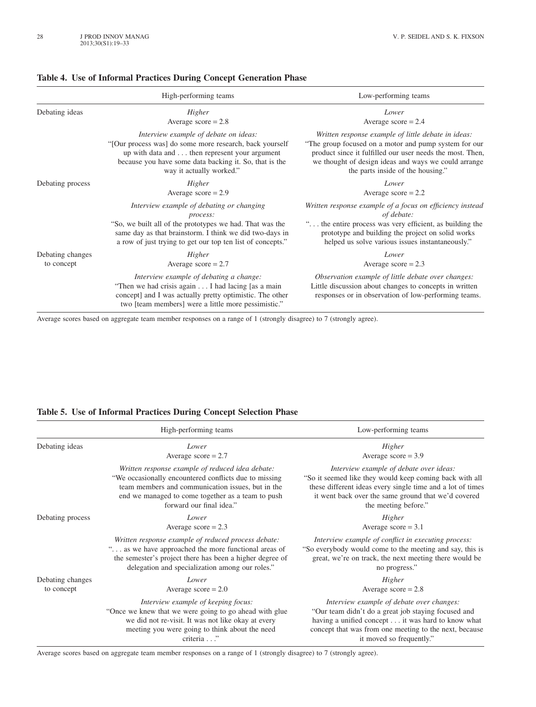|                                | High-performing teams                                                                                                                                                                                                                      | Low-performing teams                                                                                                                                                                                                                                                   |
|--------------------------------|--------------------------------------------------------------------------------------------------------------------------------------------------------------------------------------------------------------------------------------------|------------------------------------------------------------------------------------------------------------------------------------------------------------------------------------------------------------------------------------------------------------------------|
| Debating ideas                 | Higher<br>Average $score = 2.8$                                                                                                                                                                                                            | Lower<br>Average $score = 2.4$                                                                                                                                                                                                                                         |
|                                | Interview example of debate on ideas:<br>"[Our process was] do some more research, back yourself<br>up with data and then represent your argument<br>because you have some data backing it. So, that is the<br>way it actually worked."    | Written response example of little debate in ideas:<br>"The group focused on a motor and pump system for our<br>product since it fulfilled our user needs the most. Then,<br>we thought of design ideas and ways we could arrange<br>the parts inside of the housing." |
| Debating process               | Higher<br>Average $score = 2.9$                                                                                                                                                                                                            | Lower<br>Average $score = 2.2$                                                                                                                                                                                                                                         |
|                                | Interview example of debating or changing<br>process:<br>"So, we built all of the prototypes we had. That was the<br>same day as that brainstorm. I think we did two-days in<br>a row of just trying to get our top ten list of concepts." | Written response example of a focus on efficiency instead<br>of debate:<br>" the entire process was very efficient, as building the<br>prototype and building the project on solid works<br>helped us solve various issues instantaneously."                           |
| Debating changes<br>to concept | Higher<br>Average $score = 2.7$                                                                                                                                                                                                            | Lower<br>Average score $= 2.3$                                                                                                                                                                                                                                         |
|                                | Interview example of debating a change:<br>"Then we had crisis again I had lacing [as a main<br>concept] and I was actually pretty optimistic. The other<br>two [team members] were a little more pessimistic."                            | Observation example of little debate over changes:<br>Little discussion about changes to concepts in written<br>responses or in observation of low-performing teams.                                                                                                   |

Average scores based on aggregate team member responses on a range of 1 (strongly disagree) to 7 (strongly agree).

### **Table 5. Use of Informal Practices During Concept Selection Phase**

|                                | High-performing teams                                                                                                                                                                                                                           | Low-performing teams                                                                                                                                                                                                                            |
|--------------------------------|-------------------------------------------------------------------------------------------------------------------------------------------------------------------------------------------------------------------------------------------------|-------------------------------------------------------------------------------------------------------------------------------------------------------------------------------------------------------------------------------------------------|
| Debating ideas                 | Lower<br>Average $score = 2.7$                                                                                                                                                                                                                  | Higher<br>Average $score = 3.9$                                                                                                                                                                                                                 |
|                                | Written response example of reduced idea debate:<br>"We occasionally encountered conflicts due to missing<br>team members and communication issues, but in the<br>end we managed to come together as a team to push<br>forward our final idea." | Interview example of debate over ideas:<br>"So it seemed like they would keep coming back with all<br>these different ideas every single time and a lot of times<br>it went back over the same ground that we'd covered<br>the meeting before." |
| Debating process               | Lower<br>Average $score = 2.3$                                                                                                                                                                                                                  | Higher<br>Average $score = 3.1$                                                                                                                                                                                                                 |
|                                | Written response example of reduced process debate:<br>" as we have approached the more functional areas of<br>the semester's project there has been a higher degree of<br>delegation and specialization among our roles."                      | Interview example of conflict in executing process:<br>"So everybody would come to the meeting and say, this is<br>great, we're on track, the next meeting there would be<br>no progress."                                                      |
| Debating changes<br>to concept | Lower<br>Average $score = 2.0$                                                                                                                                                                                                                  | Higher<br>Average $score = 2.8$                                                                                                                                                                                                                 |
|                                | Interview example of keeping focus:<br>"Once we knew that we were going to go ahead with glue<br>we did not re-visit. It was not like okay at every<br>meeting you were going to think about the need<br>criteria"                              | Interview example of debate over changes:<br>"Our team didn't do a great job staying focused and<br>having a unified concept it was hard to know what<br>concept that was from one meeting to the next, because<br>it moved so frequently."     |

Average scores based on aggregate team member responses on a range of 1 (strongly disagree) to 7 (strongly agree).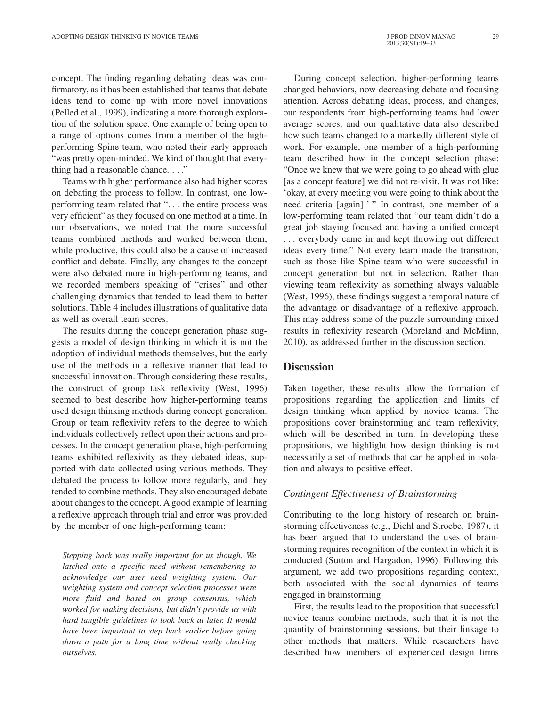concept. The finding regarding debating ideas was confirmatory, as it has been established that teams that debate ideas tend to come up with more novel innovations (Pelled et al., 1999), indicating a more thorough exploration of the solution space. One example of being open to a range of options comes from a member of the highperforming Spine team, who noted their early approach "was pretty open-minded. We kind of thought that everything had a reasonable chance. . . ."

Teams with higher performance also had higher scores on debating the process to follow. In contrast, one lowperforming team related that ". . . the entire process was very efficient" as they focused on one method at a time. In our observations, we noted that the more successful teams combined methods and worked between them; while productive, this could also be a cause of increased conflict and debate. Finally, any changes to the concept were also debated more in high-performing teams, and we recorded members speaking of "crises" and other challenging dynamics that tended to lead them to better solutions. Table 4 includes illustrations of qualitative data as well as overall team scores.

The results during the concept generation phase suggests a model of design thinking in which it is not the adoption of individual methods themselves, but the early use of the methods in a reflexive manner that lead to successful innovation. Through considering these results, the construct of group task reflexivity (West, 1996) seemed to best describe how higher-performing teams used design thinking methods during concept generation. Group or team reflexivity refers to the degree to which individuals collectively reflect upon their actions and processes. In the concept generation phase, high-performing teams exhibited reflexivity as they debated ideas, supported with data collected using various methods. They debated the process to follow more regularly, and they tended to combine methods. They also encouraged debate about changes to the concept. A good example of learning a reflexive approach through trial and error was provided by the member of one high-performing team:

*Stepping back was really important for us though. We latched onto a specific need without remembering to acknowledge our user need weighting system. Our weighting system and concept selection processes were more fluid and based on group consensus, which worked for making decisions, but didn't provide us with hard tangible guidelines to look back at later. It would have been important to step back earlier before going down a path for a long time without really checking ourselves.*

During concept selection, higher-performing teams changed behaviors, now decreasing debate and focusing attention. Across debating ideas, process, and changes, our respondents from high-performing teams had lower average scores, and our qualitative data also described how such teams changed to a markedly different style of work. For example, one member of a high-performing team described how in the concept selection phase: "Once we knew that we were going to go ahead with glue [as a concept feature] we did not re-visit. It was not like: 'okay, at every meeting you were going to think about the need criteria [again]!' " In contrast, one member of a low-performing team related that "our team didn't do a great job staying focused and having a unified concept . . . everybody came in and kept throwing out different ideas every time." Not every team made the transition, such as those like Spine team who were successful in concept generation but not in selection. Rather than viewing team reflexivity as something always valuable (West, 1996), these findings suggest a temporal nature of the advantage or disadvantage of a reflexive approach. This may address some of the puzzle surrounding mixed results in reflexivity research (Moreland and McMinn, 2010), as addressed further in the discussion section.

# **Discussion**

Taken together, these results allow the formation of propositions regarding the application and limits of design thinking when applied by novice teams. The propositions cover brainstorming and team reflexivity, which will be described in turn. In developing these propositions, we highlight how design thinking is not necessarily a set of methods that can be applied in isolation and always to positive effect.

# *Contingent Effectiveness of Brainstorming*

Contributing to the long history of research on brainstorming effectiveness (e.g., Diehl and Stroebe, 1987), it has been argued that to understand the uses of brainstorming requires recognition of the context in which it is conducted (Sutton and Hargadon, 1996). Following this argument, we add two propositions regarding context, both associated with the social dynamics of teams engaged in brainstorming.

First, the results lead to the proposition that successful novice teams combine methods, such that it is not the quantity of brainstorming sessions, but their linkage to other methods that matters. While researchers have described how members of experienced design firms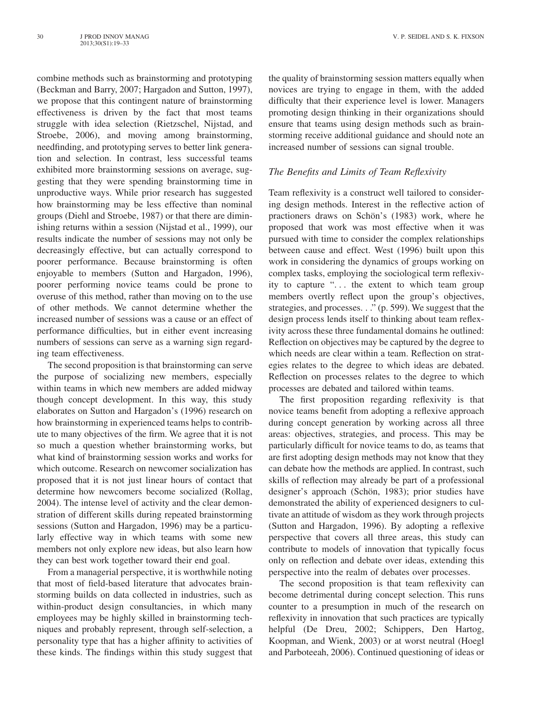combine methods such as brainstorming and prototyping (Beckman and Barry, 2007; Hargadon and Sutton, 1997), we propose that this contingent nature of brainstorming effectiveness is driven by the fact that most teams struggle with idea selection (Rietzschel, Nijstad, and Stroebe, 2006), and moving among brainstorming, needfinding, and prototyping serves to better link generation and selection. In contrast, less successful teams exhibited more brainstorming sessions on average, suggesting that they were spending brainstorming time in unproductive ways. While prior research has suggested how brainstorming may be less effective than nominal groups (Diehl and Stroebe, 1987) or that there are diminishing returns within a session (Nijstad et al., 1999), our results indicate the number of sessions may not only be decreasingly effective, but can actually correspond to poorer performance. Because brainstorming is often enjoyable to members (Sutton and Hargadon, 1996), poorer performing novice teams could be prone to overuse of this method, rather than moving on to the use of other methods. We cannot determine whether the increased number of sessions was a cause or an effect of performance difficulties, but in either event increasing numbers of sessions can serve as a warning sign regarding team effectiveness.

The second proposition is that brainstorming can serve the purpose of socializing new members, especially within teams in which new members are added midway though concept development. In this way, this study elaborates on Sutton and Hargadon's (1996) research on how brainstorming in experienced teams helps to contribute to many objectives of the firm. We agree that it is not so much a question whether brainstorming works, but what kind of brainstorming session works and works for which outcome. Research on newcomer socialization has proposed that it is not just linear hours of contact that determine how newcomers become socialized (Rollag, 2004). The intense level of activity and the clear demonstration of different skills during repeated brainstorming sessions (Sutton and Hargadon, 1996) may be a particularly effective way in which teams with some new members not only explore new ideas, but also learn how they can best work together toward their end goal.

From a managerial perspective, it is worthwhile noting that most of field-based literature that advocates brainstorming builds on data collected in industries, such as within-product design consultancies, in which many employees may be highly skilled in brainstorming techniques and probably represent, through self-selection, a personality type that has a higher affinity to activities of these kinds. The findings within this study suggest that the quality of brainstorming session matters equally when novices are trying to engage in them, with the added difficulty that their experience level is lower. Managers promoting design thinking in their organizations should ensure that teams using design methods such as brainstorming receive additional guidance and should note an increased number of sessions can signal trouble.

#### *The Benefits and Limits of Team Reflexivity*

Team reflexivity is a construct well tailored to considering design methods. Interest in the reflective action of practioners draws on Schön's (1983) work, where he proposed that work was most effective when it was pursued with time to consider the complex relationships between cause and effect. West (1996) built upon this work in considering the dynamics of groups working on complex tasks, employing the sociological term reflexivity to capture "... the extent to which team group members overtly reflect upon the group's objectives, strategies, and processes. . ." (p. 599). We suggest that the design process lends itself to thinking about team reflexivity across these three fundamental domains he outlined: Reflection on objectives may be captured by the degree to which needs are clear within a team. Reflection on strategies relates to the degree to which ideas are debated. Reflection on processes relates to the degree to which processes are debated and tailored within teams.

The first proposition regarding reflexivity is that novice teams benefit from adopting a reflexive approach during concept generation by working across all three areas: objectives, strategies, and process. This may be particularly difficult for novice teams to do, as teams that are first adopting design methods may not know that they can debate how the methods are applied. In contrast, such skills of reflection may already be part of a professional designer's approach (Schön, 1983); prior studies have demonstrated the ability of experienced designers to cultivate an attitude of wisdom as they work through projects (Sutton and Hargadon, 1996). By adopting a reflexive perspective that covers all three areas, this study can contribute to models of innovation that typically focus only on reflection and debate over ideas, extending this perspective into the realm of debates over processes.

The second proposition is that team reflexivity can become detrimental during concept selection. This runs counter to a presumption in much of the research on reflexivity in innovation that such practices are typically helpful (De Dreu, 2002; Schippers, Den Hartog, Koopman, and Wienk, 2003) or at worst neutral (Hoegl and Parboteeah, 2006). Continued questioning of ideas or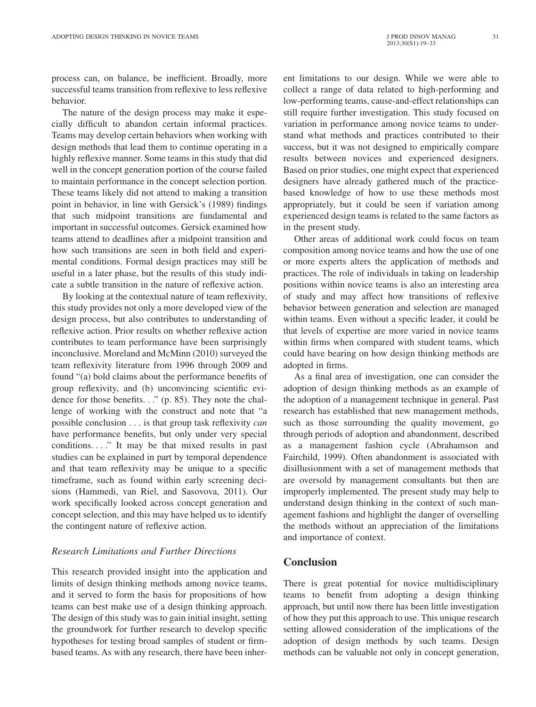process can, on balance, be inefficient. Broadly, more successful teams transition from reflexive to less reflexive behavior.

The nature of the design process may make it especially difficult to abandon certain informal practices. Teams may develop certain behaviors when working with design methods that lead them to continue operating in a highly reflexive manner. Some teams in this study that did well in the concept generation portion of the course failed to maintain performance in the concept selection portion. These teams likely did not attend to making a transition point in behavior, in line with Gersick's (1989) findings that such midpoint transitions are fundamental and important in successful outcomes. Gersick examined how teams attend to deadlines after a midpoint transition and how such transitions are seen in both field and experimental conditions. Formal design practices may still be useful in a later phase, but the results of this study indicate a subtle transition in the nature of reflexive action.

By looking at the contextual nature of team reflexivity, this study provides not only a more developed view of the design process, but also contributes to understanding of reflexive action. Prior results on whether reflexive action contributes to team performance have been surprisingly inconclusive. Moreland and McMinn (2010) surveyed the team reflexivity literature from 1996 through 2009 and found "(a) bold claims about the performance benefits of group reflexivity, and (b) unconvincing scientific evidence for those benefits. . ." (p. 85). They note the challenge of working with the construct and note that "a possible conclusion . . . is that group task reflexivity *can* have performance benefits, but only under very special conditions. . . ." It may be that mixed results in past studies can be explained in part by temporal dependence and that team reflexivity may be unique to a specific timeframe, such as found within early screening decisions (Hammedi, van Riel, and Sasovova, 2011). Our work specifically looked across concept generation and concept selection, and this may have helped us to identify the contingent nature of reflexive action.

#### *Research Limitations and Further Directions*

This research provided insight into the application and limits of design thinking methods among novice teams, and it served to form the basis for propositions of how teams can best make use of a design thinking approach. The design of this study was to gain initial insight, setting the groundwork for further research to develop specific hypotheses for testing broad samples of student or firmbased teams. As with any research, there have been inherent limitations to our design. While we were able to collect a range of data related to high-performing and low-performing teams, cause-and-effect relationships can still require further investigation. This study focused on variation in performance among novice teams to understand what methods and practices contributed to their success, but it was not designed to empirically compare results between novices and experienced designers. Based on prior studies, one might expect that experienced designers have already gathered much of the practicebased knowledge of how to use these methods most appropriately, but it could be seen if variation among experienced design teams is related to the same factors as in the present study.

Other areas of additional work could focus on team composition among novice teams and how the use of one or more experts alters the application of methods and practices. The role of individuals in taking on leadership positions within novice teams is also an interesting area of study and may affect how transitions of reflexive behavior between generation and selection are managed within teams. Even without a specific leader, it could be that levels of expertise are more varied in novice teams within firms when compared with student teams, which could have bearing on how design thinking methods are adopted in firms.

As a final area of investigation, one can consider the adoption of design thinking methods as an example of the adoption of a management technique in general. Past research has established that new management methods, such as those surrounding the quality movement, go through periods of adoption and abandonment, described as a management fashion cycle (Abrahamson and Fairchild, 1999). Often abandonment is associated with disillusionment with a set of management methods that are oversold by management consultants but then are improperly implemented. The present study may help to understand design thinking in the context of such management fashions and highlight the danger of overselling the methods without an appreciation of the limitations and importance of context.

# **Conclusion**

There is great potential for novice multidisciplinary teams to benefit from adopting a design thinking approach, but until now there has been little investigation of how they put this approach to use. This unique research setting allowed consideration of the implications of the adoption of design methods by such teams. Design methods can be valuable not only in concept generation,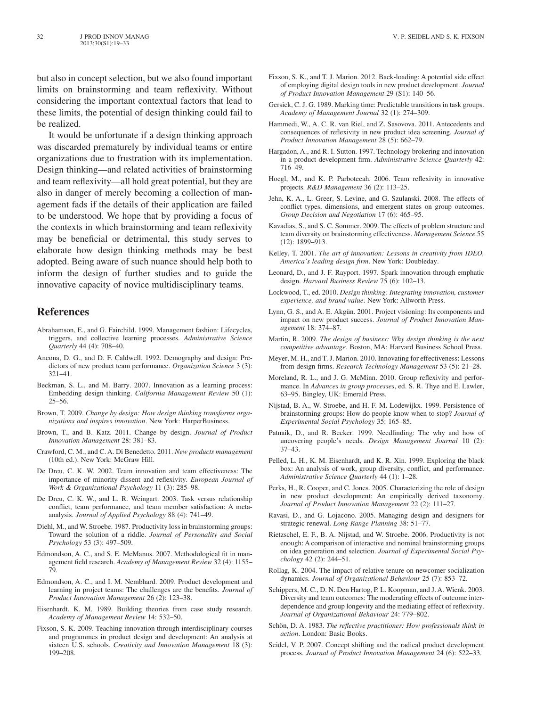It would be unfortunate if a design thinking approach was discarded prematurely by individual teams or entire organizations due to frustration with its implementation. Design thinking—and related activities of brainstorming and team reflexivity—all hold great potential, but they are also in danger of merely becoming a collection of management fads if the details of their application are failed to be understood. We hope that by providing a focus of the contexts in which brainstorming and team reflexivity may be beneficial or detrimental, this study serves to elaborate how design thinking methods may be best adopted. Being aware of such nuance should help both to inform the design of further studies and to guide the innovative capacity of novice multidisciplinary teams.

## **References**

- Abrahamson, E., and G. Fairchild. 1999. Management fashion: Lifecycles, triggers, and collective learning processes. *Administrative Science Quarterly* 44 (4): 708–40.
- Ancona, D. G., and D. F. Caldwell. 1992. Demography and design: Predictors of new product team performance. *Organization Science* 3 (3): 321–41.
- Beckman, S. L., and M. Barry. 2007. Innovation as a learning process: Embedding design thinking. *California Management Review* 50 (1): 25–56.
- Brown, T. 2009. *Change by design: How design thinking transforms organizations and inspires innovation*. New York: HarperBusiness.
- Brown, T., and B. Katz. 2011. Change by design. *Journal of Product Innovation Management* 28: 381–83.
- Crawford, C. M., and C. A. Di Benedetto. 2011. *New products management* (10th ed.). New York: McGraw Hill.
- De Dreu, C. K. W. 2002. Team innovation and team effectiveness: The importance of minority dissent and reflexivity. *European Journal of Work & Organizational Psychology* 11 (3): 285–98.
- De Dreu, C. K. W., and L. R. Weingart. 2003. Task versus relationship conflict, team performance, and team member satisfaction: A metaanalysis. *Journal of Applied Psychology* 88 (4): 741–49.
- Diehl, M., and W. Stroebe. 1987. Productivity loss in brainstorming groups: Toward the solution of a riddle. *Journal of Personality and Social Psychology* 53 (3): 497–509.
- Edmondson, A. C., and S. E. McManus. 2007. Methodological fit in management field research. *Academy of Management Review* 32 (4): 1155– 79.
- Edmondson, A. C., and I. M. Nembhard. 2009. Product development and learning in project teams: The challenges are the benefits. *Journal of Product Innovation Management* 26 (2): 123–38.
- Eisenhardt, K. M. 1989. Building theories from case study research. *Academy of Management Review* 14: 532–50.
- Fixson, S. K. 2009. Teaching innovation through interdisciplinary courses and programmes in product design and development: An analysis at sixteen U.S. schools. *Creativity and Innovation Management* 18 (3): 199–208.
- Fixson, S. K., and T. J. Marion. 2012. Back-loading: A potential side effect of employing digital design tools in new product development. *Journal of Product Innovation Management* 29 (S1): 140–56.
- Gersick, C. J. G. 1989. Marking time: Predictable transitions in task groups. *Academy of Management Journal* 32 (1): 274–309.
- Hammedi, W., A. C. R. van Riel, and Z. Sasovova. 2011. Antecedents and consequences of reflexivity in new product idea screening. *Journal of Product Innovation Management* 28 (5): 662–79.
- Hargadon, A., and R. I. Sutton. 1997. Technology brokering and innovation in a product development firm. *Administrative Science Quarterly* 42: 716–49.
- Hoegl, M., and K. P. Parboteeah. 2006. Team reflexivity in innovative projects. *R&D Management* 36 (2): 113–25.
- Jehn, K. A., L. Greer, S. Levine, and G. Szulanski. 2008. The effects of conflict types, dimensions, and emergent states on group outcomes. *Group Decision and Negotiation* 17 (6): 465–95.
- Kavadias, S., and S. C. Sommer. 2009. The effects of problem structure and team diversity on brainstorming effectiveness. *Management Science* 55 (12): 1899–913.
- Kelley, T. 2001. *The art of innovation: Lessons in creativity from IDEO, America's leading design firm*. New York: Doubleday.
- Leonard, D., and J. F. Rayport. 1997. Spark innovation through emphatic design. *Harvard Business Review* 75 (6): 102–13.
- Lockwood, T., ed. 2010. *Design thinking: Integrating innovation, customer experience, and brand value*. New York: Allworth Press.
- Lynn, G. S., and A. E. Akgün. 2001. Project visioning: Its components and impact on new product success. *Journal of Product Innovation Management* 18: 374–87.
- Martin, R. 2009. *The design of business: Why design thinking is the next competitive advantage*. Boston, MA: Harvard Business School Press.
- Meyer, M. H., and T. J. Marion. 2010. Innovating for effectiveness: Lessons from design firms. *Research Technology Management* 53 (5): 21–28.
- Moreland, R. L., and J. G. McMinn. 2010. Group reflexivity and performance. In *Advances in group processes*, ed. S. R. Thye and E. Lawler, 63–95. Bingley, UK: Emerald Press.
- Nijstad, B. A., W. Stroebe, and H. F. M. Lodewijkx. 1999. Persistence of brainstorming groups: How do people know when to stop? *Journal of Experimental Social Psychology* 35: 165–85.
- Patnaik, D., and R. Becker. 1999. Needfinding: The why and how of uncovering people's needs. *Design Management Journal* 10 (2): 37–43.
- Pelled, L. H., K. M. Eisenhardt, and K. R. Xin. 1999. Exploring the black box: An analysis of work, group diversity, conflict, and performance. *Administrative Science Quarterly* 44 (1): 1–28.
- Perks, H., R. Cooper, and C. Jones. 2005. Characterizing the role of design in new product development: An empirically derived taxonomy. *Journal of Product Innovation Management* 22 (2): 111–27.
- Ravasi, D., and G. Lojacono. 2005. Managing design and designers for strategic renewal. *Long Range Planning* 38: 51–77.
- Rietzschel, E. F., B. A. Nijstad, and W. Stroebe. 2006. Productivity is not enough: A comparison of interactive and nominal brainstorming groups on idea generation and selection. *Journal of Experimental Social Psychology* 42 (2): 244–51.
- Rollag, K. 2004. The impact of relative tenure on newcomer socialization dynamics. *Journal of Organizational Behaviour* 25 (7): 853–72.
- Schippers, M. C., D. N. Den Hartog, P. L. Koopman, and J. A. Wienk. 2003. Diversity and team outcomes: The moderating effects of outcome interdependence and group longevity and the mediating effect of reflexivity. *Journal of Organizational Behaviour* 24: 779–802.
- Schön, D. A. 1983. *The reflective practitioner: How professionals think in action*. London: Basic Books.
- Seidel, V. P. 2007. Concept shifting and the radical product development process. *Journal of Product Innovation Management* 24 (6): 522–33.